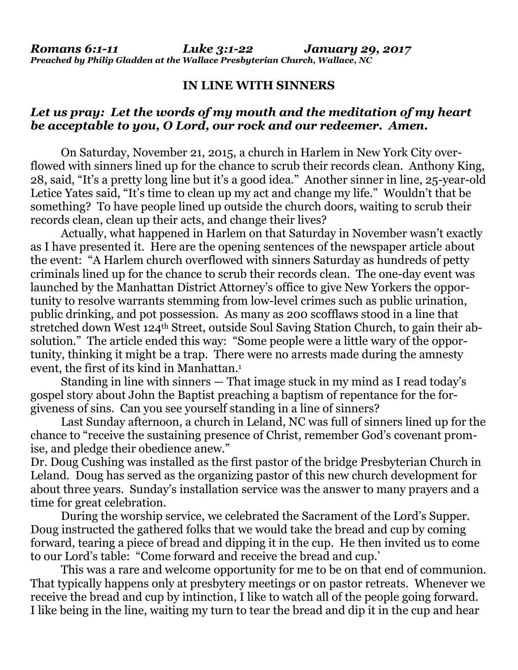## **IN LINE WITH SINNERS**

## *Let us pray: Let the words of my mouth and the meditation of my heart be acceptable to you, O Lord, our rock and our redeemer. Amen.*

On Saturday, November 21, 2015, a church in Harlem in New York City overflowed with sinners lined up for the chance to scrub their records clean. Anthony King, 28, said, "It's a pretty long line but it's a good idea." Another sinner in line, 25-year-old Letice Yates said, "It's time to clean up my act and change my life." Wouldn't that be something? To have people lined up outside the church doors, waiting to scrub their records clean, clean up their acts, and change their lives?

Actually, what happened in Harlem on that Saturday in November wasn't exactly as I have presented it. Here are the opening sentences of the newspaper article about the event: "A Harlem church overflowed with sinners Saturday as hundreds of petty criminals lined up for the chance to scrub their records clean. The one-day event was launched by the Manhattan District Attorney's office to give New Yorkers the opportunity to resolve warrants stemming from low-level crimes such as public urination, public drinking, and pot possession. As many as 200 scofflaws stood in a line that stretched down West 124<sup>th</sup> Street, outside Soul Saving Station Church, to gain their absolution." The article ended this way: "Some people were a little wary of the opportunity, thinking it might be a trap. There were no arrests made during the amnesty event, the first of its kind in Manhattan.<sup>1</sup>

Standing in line with sinners — That image stuck in my mind as I read today's gospel story about John the Baptist preaching a baptism of repentance for the forgiveness of sins. Can you see yourself standing in a line of sinners?

Last Sunday afternoon, a church in Leland, NC was full of sinners lined up for the chance to "receive the sustaining presence of Christ, remember God's covenant promise, and pledge their obedience anew."

Dr. Doug Cushing was installed as the first pastor of the bridge Presbyterian Church in Leland. Doug has served as the organizing pastor of this new church development for about three years. Sunday's installation service was the answer to many prayers and a time for great celebration.

During the worship service, we celebrated the Sacrament of the Lord's Supper. Doug instructed the gathered folks that we would take the bread and cup by coming forward, tearing a piece of bread and dipping it in the cup. He then invited us to come to our Lord's table: "Come forward and receive the bread and cup.'

This was a rare and welcome opportunity for me to be on that end of communion. That typically happens only at presbytery meetings or on pastor retreats. Whenever we receive the bread and cup by intinction, I like to watch all of the people going forward. I like being in the line, waiting my turn to tear the bread and dip it in the cup and hear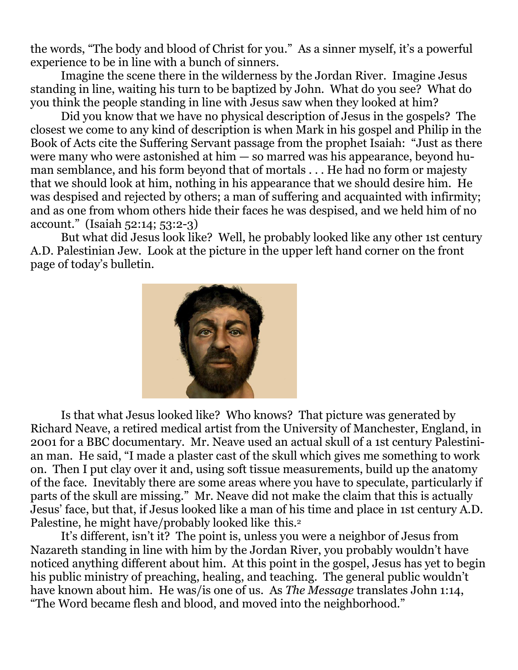the words, "The body and blood of Christ for you." As a sinner myself, it's a powerful experience to be in line with a bunch of sinners.

Imagine the scene there in the wilderness by the Jordan River. Imagine Jesus standing in line, waiting his turn to be baptized by John. What do you see? What do you think the people standing in line with Jesus saw when they looked at him?

Did you know that we have no physical description of Jesus in the gospels? The closest we come to any kind of description is when Mark in his gospel and Philip in the Book of Acts cite the Suffering Servant passage from the prophet Isaiah: "Just as there were many who were astonished at him — so marred was his appearance, beyond human semblance, and his form beyond that of mortals . . . He had no form or majesty that we should look at him, nothing in his appearance that we should desire him. He was despised and rejected by others; a man of suffering and acquainted with infirmity; and as one from whom others hide their faces he was despised, and we held him of no account." (Isaiah 52:14; 53:2-3)

But what did Jesus look like? Well, he probably looked like any other 1st century A.D. Palestinian Jew. Look at the picture in the upper left hand corner on the front page of today's bulletin.



Is that what Jesus looked like? Who knows? That picture was generated by Richard Neave, a retired medical artist from the University of Manchester, England, in 2001 for a BBC documentary. Mr. Neave used an actual skull of a 1st century Palestinian man. He said, "I made a plaster cast of the skull which gives me something to work on. Then I put clay over it and, using soft tissue measurements, build up the anatomy of the face. Inevitably there are some areas where you have to speculate, particularly if parts of the skull are missing." Mr. Neave did not make the claim that this is actually Jesus' face, but that, if Jesus looked like a man of his time and place in 1st century A.D. Palestine, he might have/probably looked like this.<sup>2</sup>

It's different, isn't it? The point is, unless you were a neighbor of Jesus from Nazareth standing in line with him by the Jordan River, you probably wouldn't have noticed anything different about him. At this point in the gospel, Jesus has yet to begin his public ministry of preaching, healing, and teaching. The general public wouldn't have known about him. He was/is one of us. As *The Message* translates John 1:14, "The Word became flesh and blood, and moved into the neighborhood."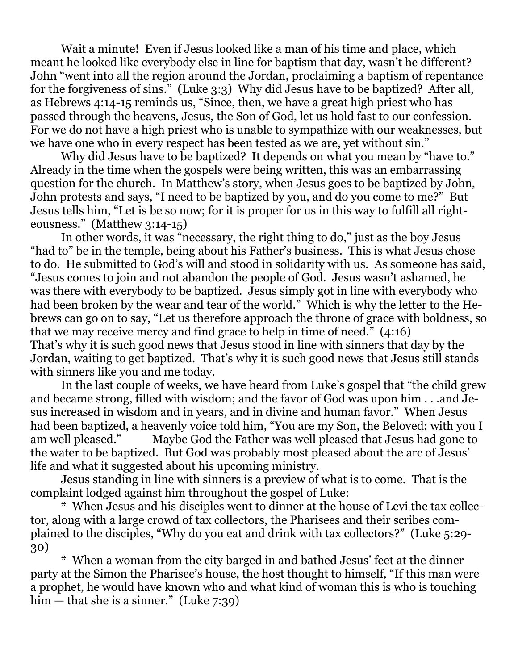Wait a minute! Even if Jesus looked like a man of his time and place, which meant he looked like everybody else in line for baptism that day, wasn't he different? John "went into all the region around the Jordan, proclaiming a baptism of repentance for the forgiveness of sins." (Luke 3:3) Why did Jesus have to be baptized? After all, as Hebrews 4:14-15 reminds us, "Since, then, we have a great high priest who has passed through the heavens, Jesus, the Son of God, let us hold fast to our confession. For we do not have a high priest who is unable to sympathize with our weaknesses, but we have one who in every respect has been tested as we are, yet without sin."

Why did Jesus have to be baptized? It depends on what you mean by "have to." Already in the time when the gospels were being written, this was an embarrassing question for the church. In Matthew's story, when Jesus goes to be baptized by John, John protests and says, "I need to be baptized by you, and do you come to me?" But Jesus tells him, "Let is be so now; for it is proper for us in this way to fulfill all righteousness." (Matthew 3:14-15)

In other words, it was "necessary, the right thing to do," just as the boy Jesus "had to" be in the temple, being about his Father's business. This is what Jesus chose to do. He submitted to God's will and stood in solidarity with us. As someone has said, "Jesus comes to join and not abandon the people of God. Jesus wasn't ashamed, he was there with everybody to be baptized. Jesus simply got in line with everybody who had been broken by the wear and tear of the world." Which is why the letter to the Hebrews can go on to say, "Let us therefore approach the throne of grace with boldness, so that we may receive mercy and find grace to help in time of need." (4:16) That's why it is such good news that Jesus stood in line with sinners that day by the Jordan, waiting to get baptized. That's why it is such good news that Jesus still stands with sinners like you and me today.

In the last couple of weeks, we have heard from Luke's gospel that "the child grew and became strong, filled with wisdom; and the favor of God was upon him . . .and Jesus increased in wisdom and in years, and in divine and human favor." When Jesus had been baptized, a heavenly voice told him, "You are my Son, the Beloved; with you I am well pleased." Maybe God the Father was well pleased that Jesus had gone to the water to be baptized. But God was probably most pleased about the arc of Jesus' life and what it suggested about his upcoming ministry.

Jesus standing in line with sinners is a preview of what is to come. That is the complaint lodged against him throughout the gospel of Luke:

\* When Jesus and his disciples went to dinner at the house of Levi the tax collector, along with a large crowd of tax collectors, the Pharisees and their scribes complained to the disciples, "Why do you eat and drink with tax collectors?" (Luke 5:29- 30)

\* When a woman from the city barged in and bathed Jesus' feet at the dinner party at the Simon the Pharisee's house, the host thought to himself, "If this man were a prophet, he would have known who and what kind of woman this is who is touching him — that she is a sinner." (Luke 7:39)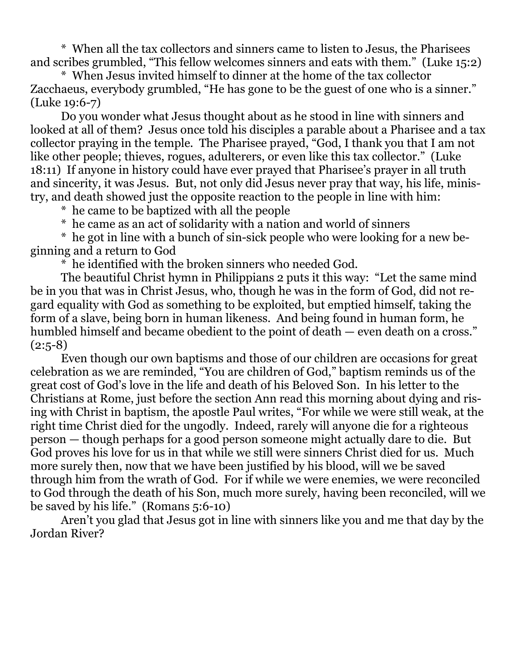\* When all the tax collectors and sinners came to listen to Jesus, the Pharisees and scribes grumbled, "This fellow welcomes sinners and eats with them." (Luke 15:2)

\* When Jesus invited himself to dinner at the home of the tax collector Zacchaeus, everybody grumbled, "He has gone to be the guest of one who is a sinner." (Luke 19:6-7)

Do you wonder what Jesus thought about as he stood in line with sinners and looked at all of them? Jesus once told his disciples a parable about a Pharisee and a tax collector praying in the temple. The Pharisee prayed, "God, I thank you that I am not like other people; thieves, rogues, adulterers, or even like this tax collector." (Luke 18:11) If anyone in history could have ever prayed that Pharisee's prayer in all truth and sincerity, it was Jesus. But, not only did Jesus never pray that way, his life, ministry, and death showed just the opposite reaction to the people in line with him:

\* he came to be baptized with all the people

\* he came as an act of solidarity with a nation and world of sinners

\* he got in line with a bunch of sin-sick people who were looking for a new beginning and a return to God

\* he identified with the broken sinners who needed God.

The beautiful Christ hymn in Philippians 2 puts it this way: "Let the same mind be in you that was in Christ Jesus, who, though he was in the form of God, did not regard equality with God as something to be exploited, but emptied himself, taking the form of a slave, being born in human likeness. And being found in human form, he humbled himself and became obedient to the point of death — even death on a cross."  $(2:5-8)$ 

Even though our own baptisms and those of our children are occasions for great celebration as we are reminded, "You are children of God," baptism reminds us of the great cost of God's love in the life and death of his Beloved Son. In his letter to the Christians at Rome, just before the section Ann read this morning about dying and rising with Christ in baptism, the apostle Paul writes, "For while we were still weak, at the right time Christ died for the ungodly. Indeed, rarely will anyone die for a righteous person — though perhaps for a good person someone might actually dare to die. But God proves his love for us in that while we still were sinners Christ died for us. Much more surely then, now that we have been justified by his blood, will we be saved through him from the wrath of God. For if while we were enemies, we were reconciled to God through the death of his Son, much more surely, having been reconciled, will we be saved by his life." (Romans 5:6-10)

Aren't you glad that Jesus got in line with sinners like you and me that day by the Jordan River?